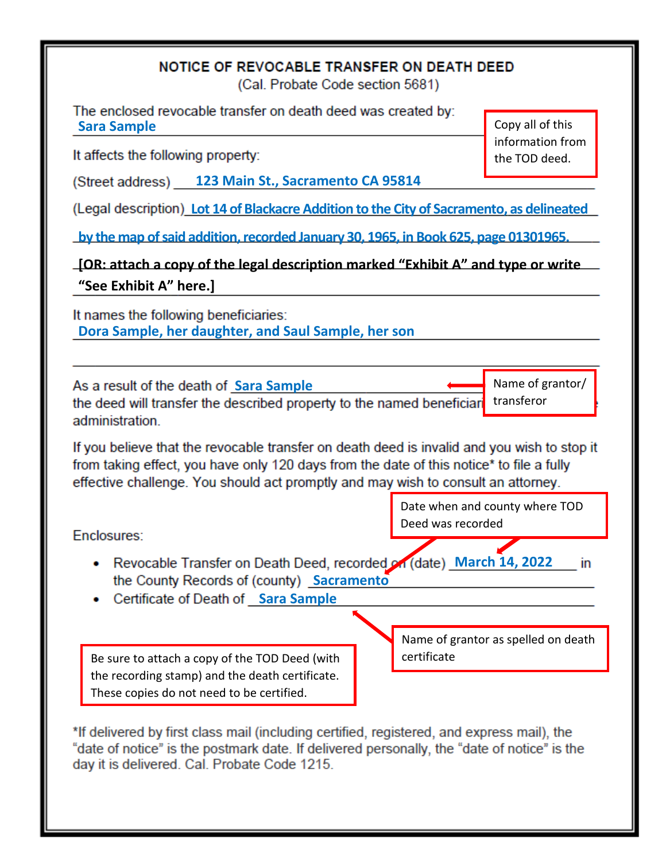## NOTICE OF REVOCABLE TRANSFER ON DEATH DEED

(Cal. Probate Code section 5681)

The enclosed revocable transfer on death deed was created by: **Sara Sample**

It affects the following property:

**123 Main St., Sacramento CA 95814**

**Lot 14 of Blackacre Addition to the City of Sacramento, as delineated** 

**by the map of said addition, recorded January 30, 1965, in Book 625, page 01301965.** 

**[OR: attach a copy of the legal description marked "Exhibit A" and type or write "See Exhibit A" here.]**

It names the following beneficiaries: **Dora Sample, her daughter, and Saul Sample, her son**

Name of grantor/ As a result of the death of Sara Sample the deed will transfer the described property to the named beneficiar transferor administration.

If you believe that the revocable transfer on death deed is invalid and you wish to stop it from taking effect, you have only 120 days from the date of this notice\* to file a fully effective challenge. You should act promptly and may wish to consult an attorney.

Enclosures:

- Revocable Transfer on Death Deed, recorded on (date) March 14, 2022 in the County Records of (county) Sacramento
- **•** Certificate of Death of Sara Sample

Be sure to attach a copy of the TOD Deed (with certificate the recording stamp) and the death certificate. These copies do not need to be certified.

Name of grantor as spelled on death

Date when and county where TOD

Deed was recorded

\*If delivered by first class mail (including certified, registered, and express mail), the "date of notice" is the postmark date. If delivered personally, the "date of notice" is the day it is delivered. Cal. Probate Code 1215.

Copy all of this information from the TOD deed.